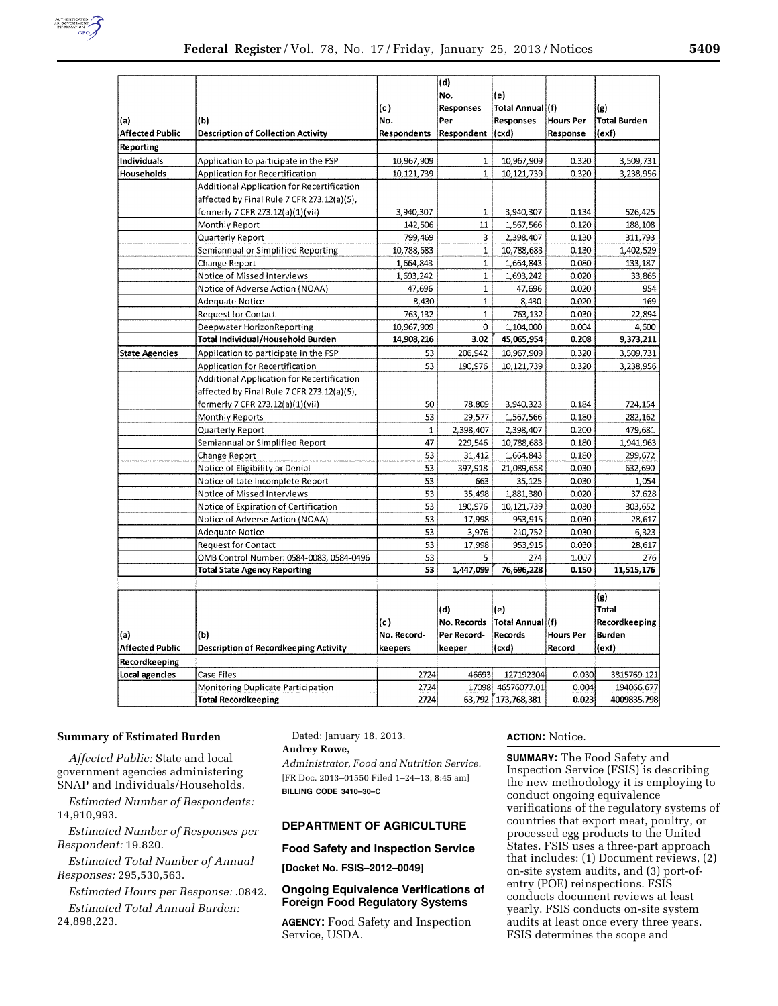

| (a)<br><b>Affected Public</b> | (b)<br><b>Description of Collection Activity</b>                                                                             | (c)<br>No.<br><b>Respondents</b> | (d)<br>No.<br>Responses<br>Per<br>Respondent | (e)<br>Total Annual (f)<br><b>Responses</b><br>(cxd) | <b>Hours Per</b><br>Response | (g)<br><b>Total Burden</b><br>(exf) |
|-------------------------------|------------------------------------------------------------------------------------------------------------------------------|----------------------------------|----------------------------------------------|------------------------------------------------------|------------------------------|-------------------------------------|
| Reporting                     |                                                                                                                              |                                  |                                              |                                                      |                              |                                     |
| Individuals                   | Application to participate in the FSP                                                                                        | 10,967,909                       | $\mathbf 1$                                  | 10,967,909                                           | 0.320                        | 3,509,731                           |
| Households                    | <b>Application for Recertification</b>                                                                                       | 10,121,739                       | $\mathbf{1}$                                 | 10,121,739                                           | 0.320                        | 3,238,956                           |
|                               | Additional Application for Recertification<br>affected by Final Rule 7 CFR 273.12(a)(5),<br>formerly 7 CFR 273.12(a)(1)(vii) | 3,940,307                        | $\mathbf{1}$                                 | 3,940,307                                            | 0.134                        | 526,425                             |
|                               | Monthly Report                                                                                                               | 142,506                          | 11                                           | 1,567,566                                            | 0.120                        | 188,108                             |
|                               | Quarterly Report                                                                                                             | 799,469                          | 3                                            | 2,398,407                                            | 0.130                        | 311,793                             |
|                               | Semiannual or Simplified Reporting                                                                                           | 10,788,683                       | $\mathbf 1$                                  | 10,788,683                                           | 0.130                        | 1,402,529                           |
|                               | <b>Change Report</b>                                                                                                         | 1,664,843                        | $\mathbf{1}$                                 | 1,664,843                                            | 0.080                        | 133,187                             |
|                               | Notice of Missed Interviews                                                                                                  | 1,693,242                        | $\mathbf 1$                                  | 1,693,242                                            | 0.020                        | 33,865                              |
|                               | Notice of Adverse Action (NOAA)                                                                                              | 47,696                           | $\mathbf{1}$                                 | 47,696                                               | 0.020                        | 954                                 |
|                               | Adequate Notice                                                                                                              | 8,430                            | $\mathbf{1}$                                 | 8,430                                                | 0.020                        | 169                                 |
|                               | <b>Request for Contact</b>                                                                                                   | 763,132                          | $\mathbf 1$                                  | 763,132                                              | 0.030                        | 22,894                              |
|                               | Deepwater HorizonReporting                                                                                                   | 10,967,909                       | 0                                            | 1,104,000                                            | 0.004                        | 4,600                               |
|                               | Total Individual/Household Burden                                                                                            | 14,908,216                       | 3.02                                         | 45,065,954                                           | 0.208                        | 9,373,211                           |
| <b>State Agencies</b>         | Application to participate in the FSP                                                                                        | 53                               | 206.942                                      | 10,967,909                                           | 0.320                        | 3,509,731                           |
|                               | Application for Recertification                                                                                              | 53                               | 190,976                                      | 10, 121, 739                                         | 0.320                        | 3,238,956                           |
|                               | Additional Application for Recertification<br>affected by Final Rule 7 CFR 273.12(a)(5),                                     |                                  |                                              |                                                      |                              |                                     |
|                               | formerly 7 CFR 273.12(a)(1)(vii)                                                                                             | 50                               | 78,809                                       | 3,940,323                                            | 0.184                        | 724,154                             |
|                               | Monthly Reports                                                                                                              | 53                               | 29,577                                       | 1,567,566                                            | 0.180                        | 282,162                             |
|                               | <b>Quarterly Report</b>                                                                                                      | $\mathbf 1$                      | 2,398,407                                    | 2,398,407                                            | 0.200                        | 479,681                             |
|                               | Semiannual or Simplified Report                                                                                              | 47                               | 229,546                                      | 10,788,683                                           | 0.180                        | 1,941,963                           |
|                               | Change Report                                                                                                                | 53                               | 31,412                                       | 1,664,843                                            | 0.180                        | 299,672                             |
|                               | Notice of Eligibility or Denial                                                                                              | 53<br>53                         | 397,918                                      | 21,089,658                                           | 0.030                        | 632,690                             |
|                               | Notice of Late Incomplete Report                                                                                             | 53                               | 663                                          | 35,125                                               | 0.030                        | 1,054                               |
|                               | Notice of Missed Interviews                                                                                                  | 53                               | 35,498<br>190,976                            | 1,881,380                                            | 0.020                        | 37,628                              |
|                               | Notice of Expiration of Certification<br>Notice of Adverse Action (NOAA)                                                     | 53                               | 17,998                                       | 10,121,739<br>953,915                                | 0.030<br>0.030               | 303,652<br>28,617                   |
|                               | <b>Adequate Notice</b>                                                                                                       | 53                               | 3,976                                        | 210,752                                              | 0.030                        | 6,323                               |
|                               | <b>Request for Contact</b>                                                                                                   | 53                               | 17,998                                       | 953,915                                              | 0.030                        | 28,617                              |
|                               | OMB Control Number: 0584-0083, 0584-0496                                                                                     | 53                               | 5                                            | 274                                                  | 1.007                        | 276                                 |
|                               | <b>Total State Agency Reporting</b>                                                                                          | 53                               | 1,447,099                                    | 76,696,228                                           | 0.150                        | 11,515,176                          |
|                               |                                                                                                                              |                                  |                                              |                                                      |                              |                                     |
|                               |                                                                                                                              |                                  |                                              |                                                      |                              | (g)                                 |
|                               |                                                                                                                              |                                  | (d)                                          | (e)                                                  |                              | <b>Total</b>                        |
|                               |                                                                                                                              | (c)                              | No. Records                                  | Total Annual (f)                                     |                              | Recordkeeping                       |
| (a)                           | (b)                                                                                                                          | No. Record-                      | Per Record-                                  | <b>Records</b>                                       | <b>Hours Per</b>             | <b>Burden</b>                       |
| <b>Affected Public</b>        | <b>Description of Recordkeeping Activity</b>                                                                                 | keepers                          | keeper                                       | (cxd)                                                | Record                       | (exf)                               |
| Recordkeeping                 |                                                                                                                              |                                  |                                              |                                                      |                              |                                     |
| Local agencies                | Case Files                                                                                                                   | 2724                             | 46693                                        | 127192304                                            | 0.030                        | 3815769.121                         |
|                               | Monitoring Duplicate Participation                                                                                           | 2724                             | 17098                                        | 46576077.01                                          | 0.004                        | 194066.677                          |
|                               | <b>Total Recordkeeping</b>                                                                                                   | 2724                             |                                              | 63,792 [173,768,381                                  | 0.023                        | 4009835.798                         |

### **Summary of Estimated Burden**

*Affected Public:* State and local government agencies administering SNAP and Individuals/Households.

*Estimated Number of Respondents:*  14,910,993.

*Estimated Number of Responses per Respondent:* 19.820.

*Estimated Total Number of Annual Responses:* 295,530,563.

*Estimated Hours per Response:* .0842. *Estimated Total Annual Burden:*  24,898,223.

Dated: January 18, 2013. **Audrey Rowe,**  *Administrator, Food and Nutrition Service.*  [FR Doc. 2013–01550 Filed 1–24–13; 8:45 am]

**BILLING CODE 3410–30–C** 

# **DEPARTMENT OF AGRICULTURE**

## **Food Safety and Inspection Service**

**[Docket No. FSIS–2012–0049]** 

**Ongoing Equivalence Verifications of Foreign Food Regulatory Systems** 

**AGENCY:** Food Safety and Inspection Service, USDA.

## **ACTION:** Notice.

**SUMMARY:** The Food Safety and Inspection Service (FSIS) is describing the new methodology it is employing to conduct ongoing equivalence verifications of the regulatory systems of countries that export meat, poultry, or processed egg products to the United States. FSIS uses a three-part approach that includes: (1) Document reviews, (2) on-site system audits, and (3) port-ofentry (POE) reinspections. FSIS conducts document reviews at least yearly. FSIS conducts on-site system audits at least once every three years. FSIS determines the scope and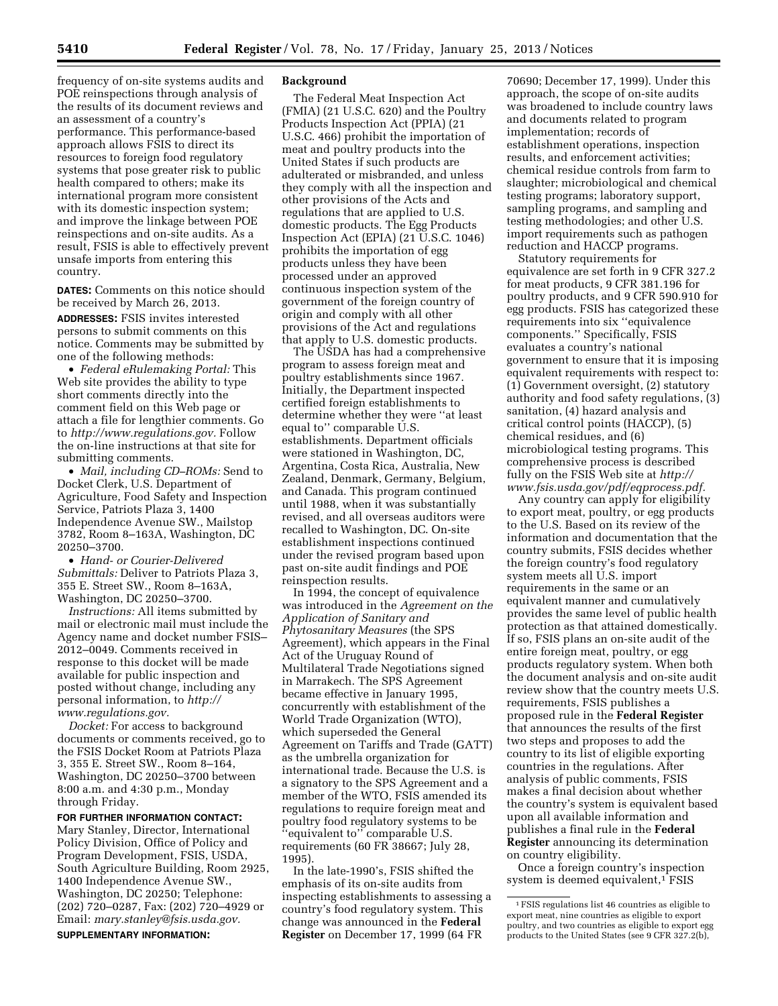frequency of on-site systems audits and POE reinspections through analysis of the results of its document reviews and an assessment of a country's performance. This performance-based approach allows FSIS to direct its resources to foreign food regulatory systems that pose greater risk to public health compared to others; make its international program more consistent with its domestic inspection system; and improve the linkage between POE reinspections and on-site audits. As a result, FSIS is able to effectively prevent unsafe imports from entering this country.

**DATES:** Comments on this notice should be received by March 26, 2013.

**ADDRESSES:** FSIS invites interested persons to submit comments on this notice. Comments may be submitted by one of the following methods:

• *Federal eRulemaking Portal:* This Web site provides the ability to type short comments directly into the comment field on this Web page or attach a file for lengthier comments. Go to *[http://www.regulations.gov.](http://www.regulations.gov)* Follow the on-line instructions at that site for submitting comments.

• *Mail, including CD–ROMs:* Send to Docket Clerk, U.S. Department of Agriculture, Food Safety and Inspection Service, Patriots Plaza 3, 1400 Independence Avenue SW., Mailstop 3782, Room 8–163A, Washington, DC 20250–3700.

• *Hand- or Courier-Delivered Submittals:* Deliver to Patriots Plaza 3, 355 E. Street SW., Room 8–163A, Washington, DC 20250–3700.

*Instructions:* All items submitted by mail or electronic mail must include the Agency name and docket number FSIS– 2012–0049. Comments received in response to this docket will be made available for public inspection and posted without change, including any personal information, to *[http://](http://www.regulations.gov)  [www.regulations.gov.](http://www.regulations.gov)* 

*Docket:* For access to background documents or comments received, go to the FSIS Docket Room at Patriots Plaza 3, 355 E. Street SW., Room 8–164, Washington, DC 20250–3700 between 8:00 a.m. and 4:30 p.m., Monday through Friday.

### **FOR FURTHER INFORMATION CONTACT:**

Mary Stanley, Director, International Policy Division, Office of Policy and Program Development, FSIS, USDA, South Agriculture Building, Room 2925, 1400 Independence Avenue SW., Washington, DC 20250; Telephone: (202) 720–0287, Fax: (202) 720–4929 or Email: *[mary.stanley@fsis.usda.gov.](mailto:mary.stanley@fsis.usda.gov)* 

#### **SUPPLEMENTARY INFORMATION:**

### **Background**

The Federal Meat Inspection Act (FMIA) (21 U.S.C. 620) and the Poultry Products Inspection Act (PPIA) (21 U.S.C. 466) prohibit the importation of meat and poultry products into the United States if such products are adulterated or misbranded, and unless they comply with all the inspection and other provisions of the Acts and regulations that are applied to U.S. domestic products. The Egg Products Inspection Act (EPIA)  $(21 \text{ U.S.C. } 1046)$ prohibits the importation of egg products unless they have been processed under an approved continuous inspection system of the government of the foreign country of origin and comply with all other provisions of the Act and regulations that apply to U.S. domestic products.

The USDA has had a comprehensive program to assess foreign meat and poultry establishments since 1967. Initially, the Department inspected certified foreign establishments to determine whether they were ''at least equal to'' comparable U.S. establishments. Department officials were stationed in Washington, DC, Argentina, Costa Rica, Australia, New Zealand, Denmark, Germany, Belgium, and Canada. This program continued until 1988, when it was substantially revised, and all overseas auditors were recalled to Washington, DC. On-site establishment inspections continued under the revised program based upon past on-site audit findings and POE reinspection results.

In 1994, the concept of equivalence was introduced in the *Agreement on the Application of Sanitary and Phytosanitary Measures* (the SPS Agreement), which appears in the Final Act of the Uruguay Round of Multilateral Trade Negotiations signed in Marrakech. The SPS Agreement became effective in January 1995, concurrently with establishment of the World Trade Organization (WTO), which superseded the General Agreement on Tariffs and Trade (GATT) as the umbrella organization for international trade. Because the U.S. is a signatory to the SPS Agreement and a member of the WTO, FSIS amended its regulations to require foreign meat and poultry food regulatory systems to be ''equivalent to'' comparable U.S. requirements (60 FR 38667; July 28, 1995).

In the late-1990's, FSIS shifted the emphasis of its on-site audits from inspecting establishments to assessing a country's food regulatory system. This change was announced in the **Federal Register** on December 17, 1999 (64 FR

70690; December 17, 1999). Under this approach, the scope of on-site audits was broadened to include country laws and documents related to program implementation; records of establishment operations, inspection results, and enforcement activities; chemical residue controls from farm to slaughter; microbiological and chemical testing programs; laboratory support, sampling programs, and sampling and testing methodologies; and other U.S. import requirements such as pathogen reduction and HACCP programs.

Statutory requirements for equivalence are set forth in 9 CFR 327.2 for meat products, 9 CFR 381.196 for poultry products, and 9 CFR 590.910 for egg products. FSIS has categorized these requirements into six ''equivalence components.'' Specifically, FSIS evaluates a country's national government to ensure that it is imposing equivalent requirements with respect to: (1) Government oversight, (2) statutory authority and food safety regulations, (3) sanitation, (4) hazard analysis and critical control points (HACCP), (5) chemical residues, and (6) microbiological testing programs. This comprehensive process is described fully on the FSIS Web site at *[http://](http://www.fsis.usda.gov/pdf/eqprocess.pdf)  [www.fsis.usda.gov/pdf/eqprocess.pdf.](http://www.fsis.usda.gov/pdf/eqprocess.pdf)* 

Any country can apply for eligibility to export meat, poultry, or egg products to the U.S. Based on its review of the information and documentation that the country submits, FSIS decides whether the foreign country's food regulatory system meets all U.S. import requirements in the same or an equivalent manner and cumulatively provides the same level of public health protection as that attained domestically. If so, FSIS plans an on-site audit of the entire foreign meat, poultry, or egg products regulatory system. When both the document analysis and on-site audit review show that the country meets U.S. requirements, FSIS publishes a proposed rule in the **Federal Register**  that announces the results of the first two steps and proposes to add the country to its list of eligible exporting countries in the regulations. After analysis of public comments, FSIS makes a final decision about whether the country's system is equivalent based upon all available information and publishes a final rule in the **Federal Register** announcing its determination on country eligibility.

Once a foreign country's inspection system is deemed equivalent,<sup>1</sup> FSIS

<sup>1</sup>FSIS regulations list 46 countries as eligible to export meat, nine countries as eligible to export poultry, and two countries as eligible to export egg products to the United States (see 9 CFR 327.2(b),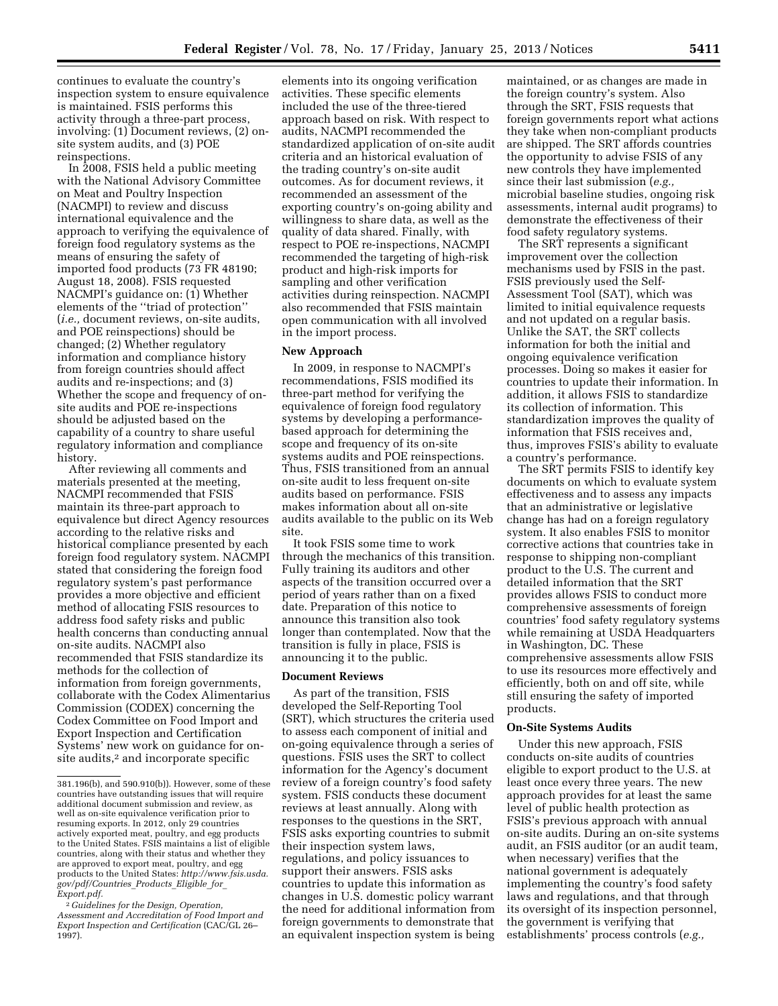continues to evaluate the country's inspection system to ensure equivalence is maintained. FSIS performs this activity through a three-part process, involving: (1) Document reviews, (2) onsite system audits, and (3) POE reinspections.

In 2008, FSIS held a public meeting with the National Advisory Committee on Meat and Poultry Inspection (NACMPI) to review and discuss international equivalence and the approach to verifying the equivalence of foreign food regulatory systems as the means of ensuring the safety of imported food products (73 FR 48190; August 18, 2008). FSIS requested NACMPI's guidance on: (1) Whether elements of the ''triad of protection'' (*i.e.,* document reviews, on-site audits, and POE reinspections) should be changed; (2) Whether regulatory information and compliance history from foreign countries should affect audits and re-inspections; and (3) Whether the scope and frequency of onsite audits and POE re-inspections should be adjusted based on the capability of a country to share useful regulatory information and compliance history.

After reviewing all comments and materials presented at the meeting, NACMPI recommended that FSIS maintain its three-part approach to equivalence but direct Agency resources according to the relative risks and historical compliance presented by each foreign food regulatory system. NACMPI stated that considering the foreign food regulatory system's past performance provides a more objective and efficient method of allocating FSIS resources to address food safety risks and public health concerns than conducting annual on-site audits. NACMPI also recommended that FSIS standardize its methods for the collection of information from foreign governments, collaborate with the Codex Alimentarius Commission (CODEX) concerning the Codex Committee on Food Import and Export Inspection and Certification Systems' new work on guidance for onsite audits,<sup>2</sup> and incorporate specific

elements into its ongoing verification activities. These specific elements included the use of the three-tiered approach based on risk. With respect to audits, NACMPI recommended the standardized application of on-site audit criteria and an historical evaluation of the trading country's on-site audit outcomes. As for document reviews, it recommended an assessment of the exporting country's on-going ability and willingness to share data, as well as the quality of data shared. Finally, with respect to POE re-inspections, NACMPI recommended the targeting of high-risk product and high-risk imports for sampling and other verification activities during reinspection. NACMPI also recommended that FSIS maintain open communication with all involved in the import process.

### **New Approach**

In 2009, in response to NACMPI's recommendations, FSIS modified its three-part method for verifying the equivalence of foreign food regulatory systems by developing a performancebased approach for determining the scope and frequency of its on-site systems audits and POE reinspections. Thus, FSIS transitioned from an annual on-site audit to less frequent on-site audits based on performance. FSIS makes information about all on-site audits available to the public on its Web site.

It took FSIS some time to work through the mechanics of this transition. Fully training its auditors and other aspects of the transition occurred over a period of years rather than on a fixed date. Preparation of this notice to announce this transition also took longer than contemplated. Now that the transition is fully in place, FSIS is announcing it to the public.

### **Document Reviews**

As part of the transition, FSIS developed the Self-Reporting Tool (SRT), which structures the criteria used to assess each component of initial and on-going equivalence through a series of questions. FSIS uses the SRT to collect information for the Agency's document review of a foreign country's food safety system. FSIS conducts these document reviews at least annually. Along with responses to the questions in the SRT, FSIS asks exporting countries to submit their inspection system laws, regulations, and policy issuances to support their answers. FSIS asks countries to update this information as changes in U.S. domestic policy warrant the need for additional information from foreign governments to demonstrate that an equivalent inspection system is being

maintained, or as changes are made in the foreign country's system. Also through the SRT, FSIS requests that foreign governments report what actions they take when non-compliant products are shipped. The SRT affords countries the opportunity to advise FSIS of any new controls they have implemented since their last submission (*e.g.,*  microbial baseline studies, ongoing risk assessments, internal audit programs) to demonstrate the effectiveness of their food safety regulatory systems.

The SRT represents a significant improvement over the collection mechanisms used by FSIS in the past. FSIS previously used the Self-Assessment Tool (SAT), which was limited to initial equivalence requests and not updated on a regular basis. Unlike the SAT, the SRT collects information for both the initial and ongoing equivalence verification processes. Doing so makes it easier for countries to update their information. In addition, it allows FSIS to standardize its collection of information. This standardization improves the quality of information that FSIS receives and, thus, improves FSIS's ability to evaluate a country's performance.

The SRT permits FSIS to identify key documents on which to evaluate system effectiveness and to assess any impacts that an administrative or legislative change has had on a foreign regulatory system. It also enables FSIS to monitor corrective actions that countries take in response to shipping non-compliant product to the U.S. The current and detailed information that the SRT provides allows FSIS to conduct more comprehensive assessments of foreign countries' food safety regulatory systems while remaining at USDA Headquarters in Washington, DC. These comprehensive assessments allow FSIS to use its resources more effectively and efficiently, both on and off site, while still ensuring the safety of imported products.

# **On-Site Systems Audits**

Under this new approach, FSIS conducts on-site audits of countries eligible to export product to the U.S. at least once every three years. The new approach provides for at least the same level of public health protection as FSIS's previous approach with annual on-site audits. During an on-site systems audit, an FSIS auditor (or an audit team, when necessary) verifies that the national government is adequately implementing the country's food safety laws and regulations, and that through its oversight of its inspection personnel, the government is verifying that establishments' process controls (*e.g.,* 

<sup>381.196(</sup>b), and 590.910(b)). However, some of these countries have outstanding issues that will require additional document submission and review, as well as on-site equivalence verification prior to resuming exports. In 2012, only 29 countries actively exported meat, poultry, and egg products to the United States. FSIS maintains a list of eligible countries, along with their status and whether they are approved to export meat, poultry, and egg products to the United States: *[http://www.fsis.usda.](http://www.fsis.usda.gov/pdf/Countries_Products_Eligible_for_Export.pdf) [gov/pdf/Countries](http://www.fsis.usda.gov/pdf/Countries_Products_Eligible_for_Export.pdf)*\_*Products*\_*Eligible*\_*for*\_ *[Export.pdf.](http://www.fsis.usda.gov/pdf/Countries_Products_Eligible_for_Export.pdf)* 

<sup>2</sup> *Guidelines for the Design, Operation, Assessment and Accreditation of Food Import and Export Inspection and Certification* (CAC/GL 26– 1997).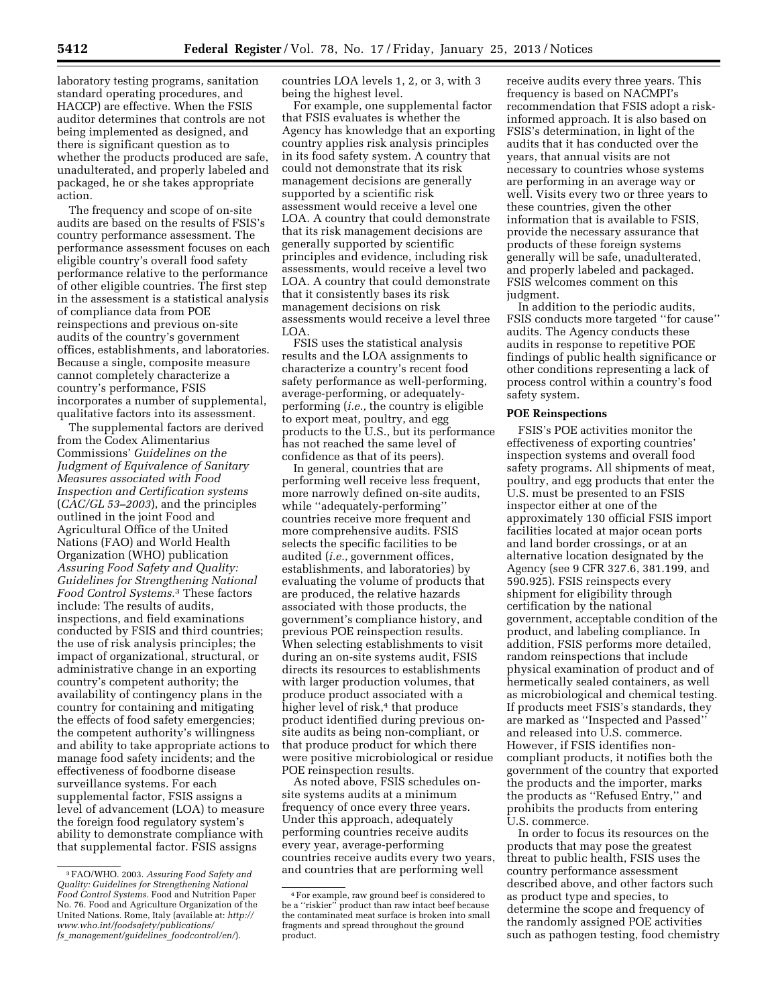laboratory testing programs, sanitation standard operating procedures, and HACCP) are effective. When the FSIS auditor determines that controls are not being implemented as designed, and there is significant question as to whether the products produced are safe, unadulterated, and properly labeled and packaged, he or she takes appropriate action.

The frequency and scope of on-site audits are based on the results of FSIS's country performance assessment. The performance assessment focuses on each eligible country's overall food safety performance relative to the performance of other eligible countries. The first step in the assessment is a statistical analysis of compliance data from POE reinspections and previous on-site audits of the country's government offices, establishments, and laboratories. Because a single, composite measure cannot completely characterize a country's performance, FSIS incorporates a number of supplemental, qualitative factors into its assessment.

The supplemental factors are derived from the Codex Alimentarius Commissions' *Guidelines on the Judgment of Equivalence of Sanitary Measures associated with Food Inspection and Certification systems*  (*CAC/GL 53–2003*), and the principles outlined in the joint Food and Agricultural Office of the United Nations (FAO) and World Health Organization (WHO) publication *Assuring Food Safety and Quality: Guidelines for Strengthening National Food Control Systems.*3 These factors include: The results of audits, inspections, and field examinations conducted by FSIS and third countries; the use of risk analysis principles; the impact of organizational, structural, or administrative change in an exporting country's competent authority; the availability of contingency plans in the country for containing and mitigating the effects of food safety emergencies; the competent authority's willingness and ability to take appropriate actions to manage food safety incidents; and the effectiveness of foodborne disease surveillance systems. For each supplemental factor, FSIS assigns a level of advancement (LOA) to measure the foreign food regulatory system's ability to demonstrate compliance with that supplemental factor. FSIS assigns

countries LOA levels 1, 2, or 3, with 3 being the highest level.

For example, one supplemental factor that FSIS evaluates is whether the Agency has knowledge that an exporting country applies risk analysis principles in its food safety system. A country that could not demonstrate that its risk management decisions are generally supported by a scientific risk assessment would receive a level one LOA. A country that could demonstrate that its risk management decisions are generally supported by scientific principles and evidence, including risk assessments, would receive a level two LOA. A country that could demonstrate that it consistently bases its risk management decisions on risk assessments would receive a level three LOA.

FSIS uses the statistical analysis results and the LOA assignments to characterize a country's recent food safety performance as well-performing, average-performing, or adequatelyperforming (*i.e.,* the country is eligible to export meat, poultry, and egg products to the U.S., but its performance has not reached the same level of confidence as that of its peers).

In general, countries that are performing well receive less frequent, more narrowly defined on-site audits, while ''adequately-performing'' countries receive more frequent and more comprehensive audits. FSIS selects the specific facilities to be audited (*i.e.,* government offices, establishments, and laboratories) by evaluating the volume of products that are produced, the relative hazards associated with those products, the government's compliance history, and previous POE reinspection results. When selecting establishments to visit during an on-site systems audit, FSIS directs its resources to establishments with larger production volumes, that produce product associated with a higher level of risk,<sup>4</sup> that produce product identified during previous onsite audits as being non-compliant, or that produce product for which there were positive microbiological or residue POE reinspection results.

As noted above, FSIS schedules onsite systems audits at a minimum frequency of once every three years. Under this approach, adequately performing countries receive audits every year, average-performing countries receive audits every two years, and countries that are performing well

receive audits every three years. This frequency is based on NACMPI's recommendation that FSIS adopt a riskinformed approach. It is also based on FSIS's determination, in light of the audits that it has conducted over the years, that annual visits are not necessary to countries whose systems are performing in an average way or well. Visits every two or three years to these countries, given the other information that is available to FSIS, provide the necessary assurance that products of these foreign systems generally will be safe, unadulterated, and properly labeled and packaged. FSIS welcomes comment on this judgment.

In addition to the periodic audits, FSIS conducts more targeted ''for cause'' audits. The Agency conducts these audits in response to repetitive POE findings of public health significance or other conditions representing a lack of process control within a country's food safety system.

# **POE Reinspections**

FSIS's POE activities monitor the effectiveness of exporting countries' inspection systems and overall food safety programs. All shipments of meat, poultry, and egg products that enter the U.S. must be presented to an FSIS inspector either at one of the approximately 130 official FSIS import facilities located at major ocean ports and land border crossings, or at an alternative location designated by the Agency (see 9 CFR 327.6, 381.199, and 590.925). FSIS reinspects every shipment for eligibility through certification by the national government, acceptable condition of the product, and labeling compliance. In addition, FSIS performs more detailed, random reinspections that include physical examination of product and of hermetically sealed containers, as well as microbiological and chemical testing. If products meet FSIS's standards, they are marked as ''Inspected and Passed'' and released into U.S. commerce. However, if FSIS identifies noncompliant products, it notifies both the government of the country that exported the products and the importer, marks the products as ''Refused Entry,'' and prohibits the products from entering U.S. commerce.

In order to focus its resources on the products that may pose the greatest threat to public health, FSIS uses the country performance assessment described above, and other factors such as product type and species, to determine the scope and frequency of the randomly assigned POE activities such as pathogen testing, food chemistry

<sup>3</sup>FAO/WHO. 2003. *Assuring Food Safety and Quality: Guidelines for Strengthening National Food Control Systems.* Food and Nutrition Paper No. 76. Food and Agriculture Organization of the United Nations. Rome, Italy (available at: *[http://](http://www.who.int/foodsafety/publications/fs_management/guidelines_foodcontrol/en/)  [www.who.int/foodsafety/publications/](http://www.who.int/foodsafety/publications/fs_management/guidelines_foodcontrol/en/)  fs*\_*[management/guidelines](http://www.who.int/foodsafety/publications/fs_management/guidelines_foodcontrol/en/)*\_*foodcontrol/en/*).

<sup>4</sup>For example, raw ground beef is considered to be a ''riskier'' product than raw intact beef because the contaminated meat surface is broken into small fragments and spread throughout the ground product.